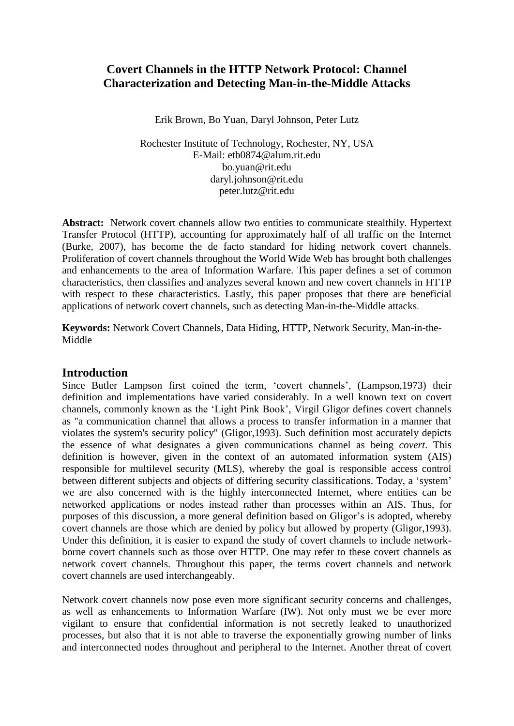# **Covert Channels in the HTTP Network Protocol: Channel Characterization and Detecting Man-in-the-Middle Attacks**

Erik Brown, Bo Yuan, Daryl Johnson, Peter Lutz

Rochester Institute of Technology, Rochester, NY, USA E-Mail: etb0874@alum.rit.edu bo.yuan@rit.edu daryl.johnson@rit.edu peter.lutz@rit.edu

Abstract: Network covert channels allow two entities to communicate stealthily. Hypertext Transfer Protocol (HTTP), accounting for approximately half of all traffic on the Internet (Burke, 2007), has become the de facto standard for hiding network covert channels. Proliferation of covert channels throughout the World Wide Web has brought both challenges and enhancements to the area of Information Warfare. This paper defines a set of common characteristics, then classifies and analyzes several known and new covert channels in HTTP with respect to these characteristics. Lastly, this paper proposes that there are beneficial applications of network covert channels, such as detecting Man-in-the-Middle attacks.

**Keywords:** Network Covert Channels, Data Hiding, HTTP, Network Security, Man-in-the-Middle

#### **Introduction**

Since Butler Lampson first coined the term, 'covert channels', (Lampson,1973) their definition and implementations have varied considerably. In a well known text on covert channels, commonly known as the "Light Pink Book", Virgil Gligor defines covert channels as "a communication channel that allows a process to transfer information in a manner that violates the system's security policy" (Gligor,1993). Such definition most accurately depicts the essence of what designates a given communications channel as being *covert*. This definition is however, given in the context of an automated information system (AIS) responsible for multilevel security (MLS), whereby the goal is responsible access control between different subjects and objects of differing security classifications. Today, a "system" we are also concerned with is the highly interconnected Internet, where entities can be networked applications or nodes instead rather than processes within an AIS. Thus, for purposes of this discussion, a more general definition based on Gligor"s is adopted, whereby covert channels are those which are denied by policy but allowed by property (Gligor,1993). Under this definition, it is easier to expand the study of covert channels to include networkborne covert channels such as those over HTTP. One may refer to these covert channels as network covert channels. Throughout this paper, the terms covert channels and network covert channels are used interchangeably.

Network covert channels now pose even more significant security concerns and challenges, as well as enhancements to Information Warfare (IW). Not only must we be ever more vigilant to ensure that confidential information is not secretly leaked to unauthorized processes, but also that it is not able to traverse the exponentially growing number of links and interconnected nodes throughout and peripheral to the Internet. Another threat of covert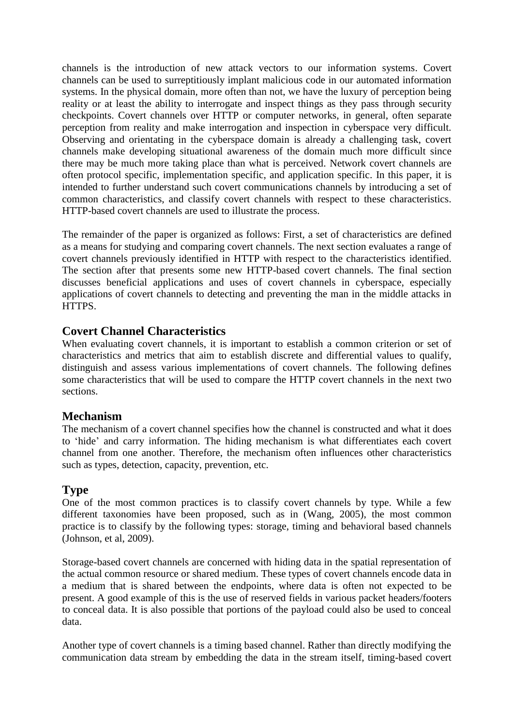channels is the introduction of new attack vectors to our information systems. Covert channels can be used to surreptitiously implant malicious code in our automated information systems. In the physical domain, more often than not, we have the luxury of perception being reality or at least the ability to interrogate and inspect things as they pass through security checkpoints. Covert channels over HTTP or computer networks, in general, often separate perception from reality and make interrogation and inspection in cyberspace very difficult. Observing and orientating in the cyberspace domain is already a challenging task, covert channels make developing situational awareness of the domain much more difficult since there may be much more taking place than what is perceived. Network covert channels are often protocol specific, implementation specific, and application specific. In this paper, it is intended to further understand such covert communications channels by introducing a set of common characteristics, and classify covert channels with respect to these characteristics. HTTP-based covert channels are used to illustrate the process.

The remainder of the paper is organized as follows: First, a set of characteristics are defined as a means for studying and comparing covert channels. The next section evaluates a range of covert channels previously identified in HTTP with respect to the characteristics identified. The section after that presents some new HTTP-based covert channels. The final section discusses beneficial applications and uses of covert channels in cyberspace, especially applications of covert channels to detecting and preventing the man in the middle attacks in HTTPS.

## **Covert Channel Characteristics**

When evaluating covert channels, it is important to establish a common criterion or set of characteristics and metrics that aim to establish discrete and differential values to qualify, distinguish and assess various implementations of covert channels. The following defines some characteristics that will be used to compare the HTTP covert channels in the next two sections.

## **Mechanism**

The mechanism of a covert channel specifies how the channel is constructed and what it does to "hide" and carry information. The hiding mechanism is what differentiates each covert channel from one another. Therefore, the mechanism often influences other characteristics such as types, detection, capacity, prevention, etc.

## **Type**

One of the most common practices is to classify covert channels by type. While a few different taxonomies have been proposed, such as in (Wang, 2005), the most common practice is to classify by the following types: storage, timing and behavioral based channels (Johnson, et al, 2009).

Storage-based covert channels are concerned with hiding data in the spatial representation of the actual common resource or shared medium. These types of covert channels encode data in a medium that is shared between the endpoints, where data is often not expected to be present. A good example of this is the use of reserved fields in various packet headers/footers to conceal data. It is also possible that portions of the payload could also be used to conceal data.

Another type of covert channels is a timing based channel. Rather than directly modifying the communication data stream by embedding the data in the stream itself, timing-based covert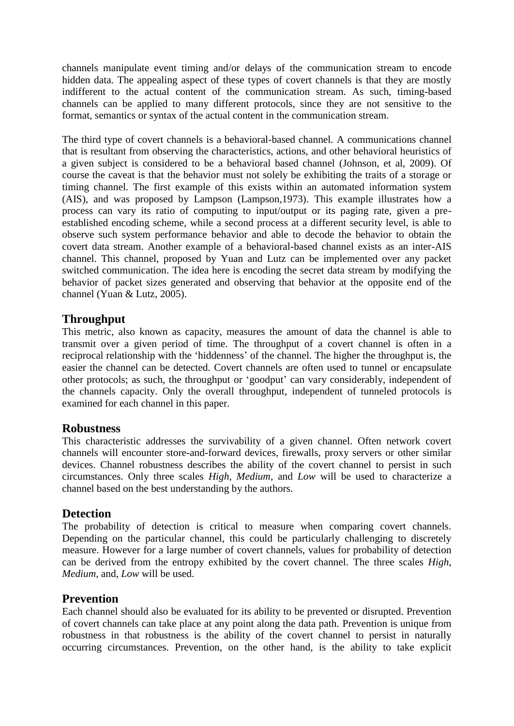channels manipulate event timing and/or delays of the communication stream to encode hidden data. The appealing aspect of these types of covert channels is that they are mostly indifferent to the actual content of the communication stream. As such, timing-based channels can be applied to many different protocols, since they are not sensitive to the format, semantics or syntax of the actual content in the communication stream.

The third type of covert channels is a behavioral-based channel. A communications channel that is resultant from observing the characteristics, actions, and other behavioral heuristics of a given subject is considered to be a behavioral based channel (Johnson, et al, 2009). Of course the caveat is that the behavior must not solely be exhibiting the traits of a storage or timing channel. The first example of this exists within an automated information system (AIS), and was proposed by Lampson (Lampson,1973). This example illustrates how a process can vary its ratio of computing to input/output or its paging rate, given a preestablished encoding scheme, while a second process at a different security level, is able to observe such system performance behavior and able to decode the behavior to obtain the covert data stream. Another example of a behavioral-based channel exists as an inter-AIS channel. This channel, proposed by Yuan and Lutz can be implemented over any packet switched communication. The idea here is encoding the secret data stream by modifying the behavior of packet sizes generated and observing that behavior at the opposite end of the channel (Yuan & Lutz, 2005).

## **Throughput**

This metric, also known as capacity, measures the amount of data the channel is able to transmit over a given period of time. The throughput of a covert channel is often in a reciprocal relationship with the "hiddenness" of the channel. The higher the throughput is, the easier the channel can be detected. Covert channels are often used to tunnel or encapsulate other protocols; as such, the throughput or "goodput" can vary considerably, independent of the channels capacity. Only the overall throughput, independent of tunneled protocols is examined for each channel in this paper.

## **Robustness**

This characteristic addresses the survivability of a given channel. Often network covert channels will encounter store-and-forward devices, firewalls, proxy servers or other similar devices. Channel robustness describes the ability of the covert channel to persist in such circumstances. Only three scales *High, Medium*, and *Low* will be used to characterize a channel based on the best understanding by the authors.

## **Detection**

The probability of detection is critical to measure when comparing covert channels. Depending on the particular channel, this could be particularly challenging to discretely measure. However for a large number of covert channels, values for probability of detection can be derived from the entropy exhibited by the covert channel. The three scales *High, Medium,* and, *Low* will be used.

## **Prevention**

Each channel should also be evaluated for its ability to be prevented or disrupted. Prevention of covert channels can take place at any point along the data path. Prevention is unique from robustness in that robustness is the ability of the covert channel to persist in naturally occurring circumstances. Prevention, on the other hand, is the ability to take explicit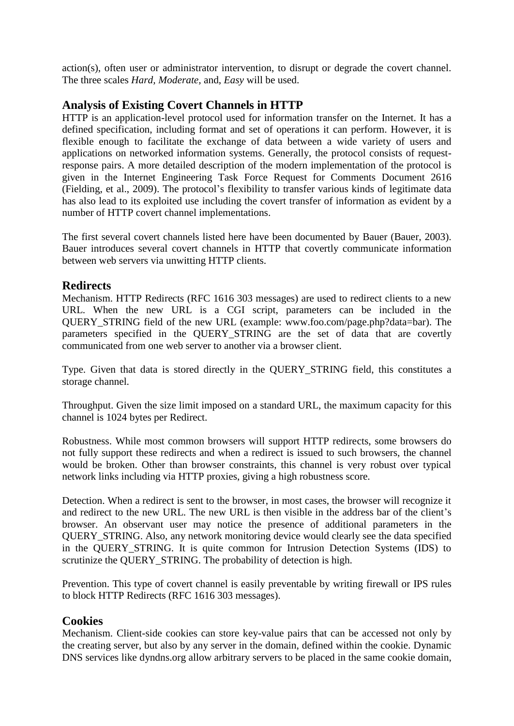action(s), often user or administrator intervention, to disrupt or degrade the covert channel. The three scales *Hard, Moderate,* and, *Easy* will be used.

## **Analysis of Existing Covert Channels in HTTP**

HTTP is an application-level protocol used for information transfer on the Internet. It has a defined specification, including format and set of operations it can perform. However, it is flexible enough to facilitate the exchange of data between a wide variety of users and applications on networked information systems. Generally, the protocol consists of requestresponse pairs. A more detailed description of the modern implementation of the protocol is given in the Internet Engineering Task Force Request for Comments Document 2616 (Fielding, et al., 2009). The protocol"s flexibility to transfer various kinds of legitimate data has also lead to its exploited use including the covert transfer of information as evident by a number of HTTP covert channel implementations.

The first several covert channels listed here have been documented by Bauer (Bauer, 2003). Bauer introduces several covert channels in HTTP that covertly communicate information between web servers via unwitting HTTP clients.

## **Redirects**

Mechanism. HTTP Redirects (RFC 1616 303 messages) are used to redirect clients to a new URL. When the new URL is a CGI script, parameters can be included in the QUERY\_STRING field of the new URL (example: www.foo.com/page.php?data=bar). The parameters specified in the QUERY\_STRING are the set of data that are covertly communicated from one web server to another via a browser client.

Type. Given that data is stored directly in the QUERY\_STRING field, this constitutes a storage channel.

Throughput. Given the size limit imposed on a standard URL, the maximum capacity for this channel is 1024 bytes per Redirect.

Robustness. While most common browsers will support HTTP redirects, some browsers do not fully support these redirects and when a redirect is issued to such browsers, the channel would be broken. Other than browser constraints, this channel is very robust over typical network links including via HTTP proxies, giving a high robustness score.

Detection. When a redirect is sent to the browser, in most cases, the browser will recognize it and redirect to the new URL. The new URL is then visible in the address bar of the client"s browser. An observant user may notice the presence of additional parameters in the QUERY\_STRING. Also, any network monitoring device would clearly see the data specified in the QUERY\_STRING. It is quite common for Intrusion Detection Systems (IDS) to scrutinize the QUERY\_STRING. The probability of detection is high.

Prevention. This type of covert channel is easily preventable by writing firewall or IPS rules to block HTTP Redirects (RFC 1616 303 messages).

## **Cookies**

Mechanism. Client-side cookies can store key-value pairs that can be accessed not only by the creating server, but also by any server in the domain, defined within the cookie. Dynamic DNS services like dyndns.org allow arbitrary servers to be placed in the same cookie domain,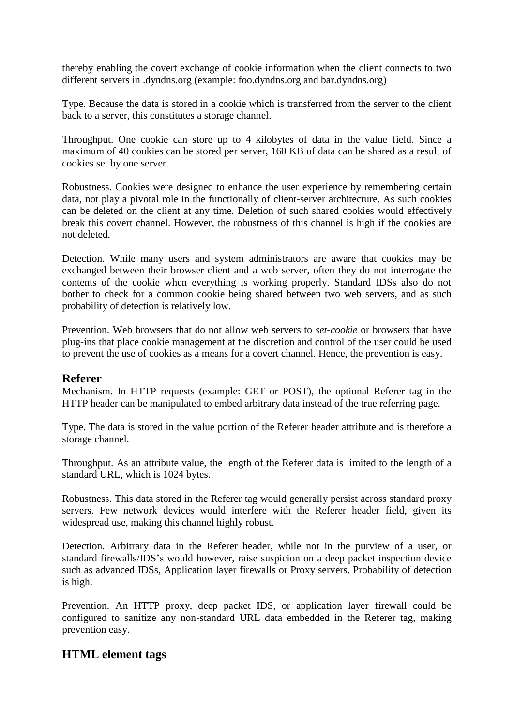thereby enabling the covert exchange of cookie information when the client connects to two different servers in .dyndns.org (example: foo.dyndns.org and bar.dyndns.org)

Type. Because the data is stored in a cookie which is transferred from the server to the client back to a server, this constitutes a storage channel.

Throughput. One cookie can store up to 4 kilobytes of data in the value field. Since a maximum of 40 cookies can be stored per server, 160 KB of data can be shared as a result of cookies set by one server.

Robustness. Cookies were designed to enhance the user experience by remembering certain data, not play a pivotal role in the functionally of client-server architecture. As such cookies can be deleted on the client at any time. Deletion of such shared cookies would effectively break this covert channel. However, the robustness of this channel is high if the cookies are not deleted.

Detection. While many users and system administrators are aware that cookies may be exchanged between their browser client and a web server, often they do not interrogate the contents of the cookie when everything is working properly. Standard IDSs also do not bother to check for a common cookie being shared between two web servers, and as such probability of detection is relatively low.

Prevention. Web browsers that do not allow web servers to *set-cookie* or browsers that have plug-ins that place cookie management at the discretion and control of the user could be used to prevent the use of cookies as a means for a covert channel. Hence, the prevention is easy.

#### **Referer**

Mechanism. In HTTP requests (example: GET or POST), the optional Referer tag in the HTTP header can be manipulated to embed arbitrary data instead of the true referring page.

Type. The data is stored in the value portion of the Referer header attribute and is therefore a storage channel.

Throughput. As an attribute value, the length of the Referer data is limited to the length of a standard URL, which is 1024 bytes.

Robustness. This data stored in the Referer tag would generally persist across standard proxy servers. Few network devices would interfere with the Referer header field, given its widespread use, making this channel highly robust.

Detection. Arbitrary data in the Referer header, while not in the purview of a user, or standard firewalls/IDS"s would however, raise suspicion on a deep packet inspection device such as advanced IDSs, Application layer firewalls or Proxy servers. Probability of detection is high.

Prevention. An HTTP proxy, deep packet IDS, or application layer firewall could be configured to sanitize any non-standard URL data embedded in the Referer tag, making prevention easy.

## **HTML element tags**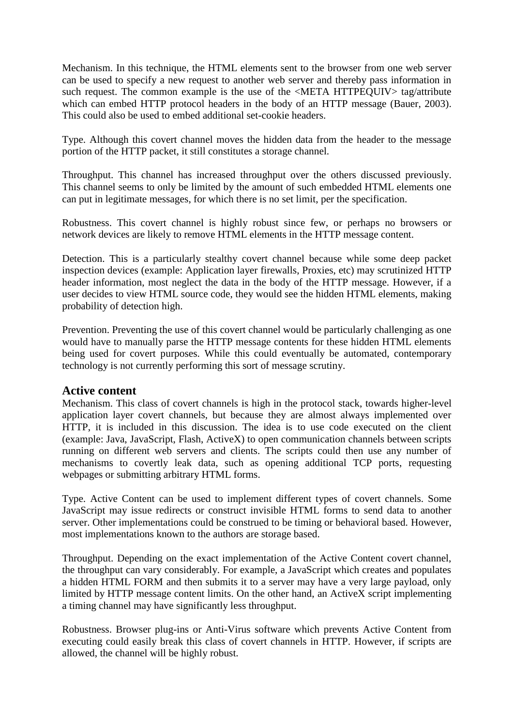Mechanism. In this technique, the HTML elements sent to the browser from one web server can be used to specify a new request to another web server and thereby pass information in such request. The common example is the use of the  $\langle \text{META HTTPEOLIV} \rangle$  tag/attribute which can embed HTTP protocol headers in the body of an HTTP message (Bauer, 2003). This could also be used to embed additional set-cookie headers.

Type. Although this covert channel moves the hidden data from the header to the message portion of the HTTP packet, it still constitutes a storage channel.

Throughput. This channel has increased throughput over the others discussed previously. This channel seems to only be limited by the amount of such embedded HTML elements one can put in legitimate messages, for which there is no set limit, per the specification.

Robustness. This covert channel is highly robust since few, or perhaps no browsers or network devices are likely to remove HTML elements in the HTTP message content.

Detection. This is a particularly stealthy covert channel because while some deep packet inspection devices (example: Application layer firewalls, Proxies, etc) may scrutinized HTTP header information, most neglect the data in the body of the HTTP message. However, if a user decides to view HTML source code, they would see the hidden HTML elements, making probability of detection high.

Prevention. Preventing the use of this covert channel would be particularly challenging as one would have to manually parse the HTTP message contents for these hidden HTML elements being used for covert purposes. While this could eventually be automated, contemporary technology is not currently performing this sort of message scrutiny.

#### **Active content**

Mechanism. This class of covert channels is high in the protocol stack, towards higher-level application layer covert channels, but because they are almost always implemented over HTTP, it is included in this discussion. The idea is to use code executed on the client (example: Java, JavaScript, Flash, ActiveX) to open communication channels between scripts running on different web servers and clients. The scripts could then use any number of mechanisms to covertly leak data, such as opening additional TCP ports, requesting webpages or submitting arbitrary HTML forms.

Type. Active Content can be used to implement different types of covert channels. Some JavaScript may issue redirects or construct invisible HTML forms to send data to another server. Other implementations could be construed to be timing or behavioral based. However, most implementations known to the authors are storage based.

Throughput. Depending on the exact implementation of the Active Content covert channel, the throughput can vary considerably. For example, a JavaScript which creates and populates a hidden HTML FORM and then submits it to a server may have a very large payload, only limited by HTTP message content limits. On the other hand, an ActiveX script implementing a timing channel may have significantly less throughput.

Robustness. Browser plug-ins or Anti-Virus software which prevents Active Content from executing could easily break this class of covert channels in HTTP. However, if scripts are allowed, the channel will be highly robust.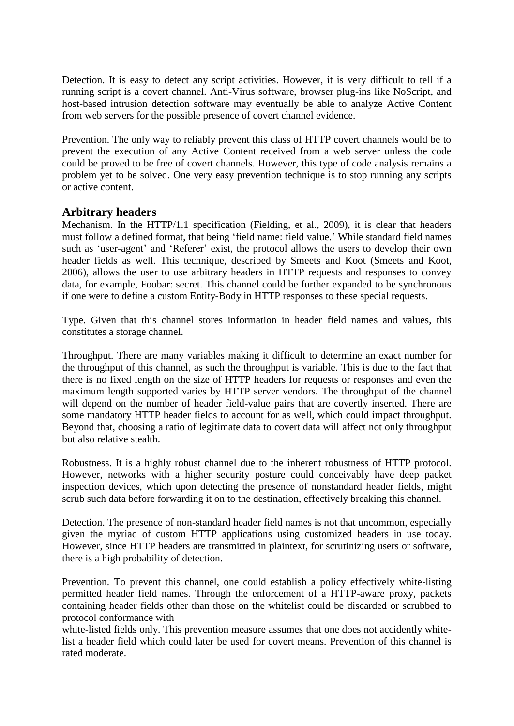Detection. It is easy to detect any script activities. However, it is very difficult to tell if a running script is a covert channel. Anti-Virus software, browser plug-ins like NoScript, and host-based intrusion detection software may eventually be able to analyze Active Content from web servers for the possible presence of covert channel evidence.

Prevention. The only way to reliably prevent this class of HTTP covert channels would be to prevent the execution of any Active Content received from a web server unless the code could be proved to be free of covert channels. However, this type of code analysis remains a problem yet to be solved. One very easy prevention technique is to stop running any scripts or active content.

## **Arbitrary headers**

Mechanism. In the HTTP/1.1 specification (Fielding, et al., 2009), it is clear that headers must follow a defined format, that being "field name: field value." While standard field names such as 'user-agent' and 'Referer' exist, the protocol allows the users to develop their own header fields as well. This technique, described by Smeets and Koot (Smeets and Koot, 2006), allows the user to use arbitrary headers in HTTP requests and responses to convey data, for example, Foobar: secret. This channel could be further expanded to be synchronous if one were to define a custom Entity-Body in HTTP responses to these special requests.

Type. Given that this channel stores information in header field names and values, this constitutes a storage channel.

Throughput. There are many variables making it difficult to determine an exact number for the throughput of this channel, as such the throughput is variable. This is due to the fact that there is no fixed length on the size of HTTP headers for requests or responses and even the maximum length supported varies by HTTP server vendors. The throughput of the channel will depend on the number of header field-value pairs that are covertly inserted. There are some mandatory HTTP header fields to account for as well, which could impact throughput. Beyond that, choosing a ratio of legitimate data to covert data will affect not only throughput but also relative stealth.

Robustness. It is a highly robust channel due to the inherent robustness of HTTP protocol. However, networks with a higher security posture could conceivably have deep packet inspection devices, which upon detecting the presence of nonstandard header fields, might scrub such data before forwarding it on to the destination, effectively breaking this channel.

Detection. The presence of non-standard header field names is not that uncommon, especially given the myriad of custom HTTP applications using customized headers in use today. However, since HTTP headers are transmitted in plaintext, for scrutinizing users or software, there is a high probability of detection.

Prevention. To prevent this channel, one could establish a policy effectively white-listing permitted header field names. Through the enforcement of a HTTP-aware proxy, packets containing header fields other than those on the whitelist could be discarded or scrubbed to protocol conformance with

white-listed fields only. This prevention measure assumes that one does not accidently whitelist a header field which could later be used for covert means. Prevention of this channel is rated moderate.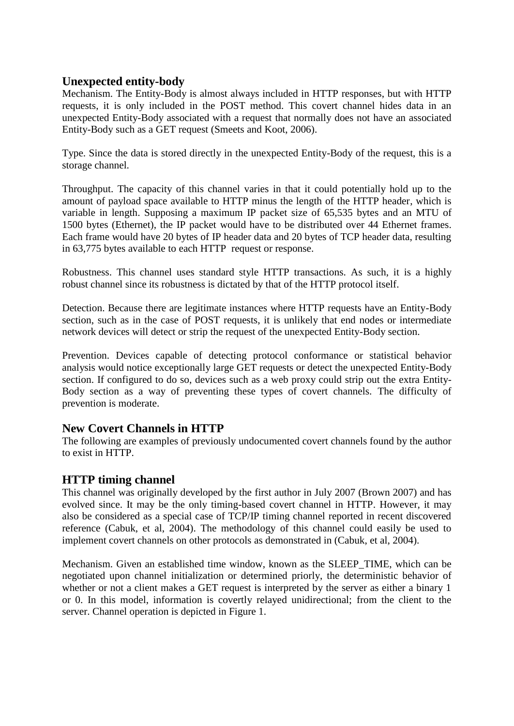## **Unexpected entity-body**

Mechanism. The Entity-Body is almost always included in HTTP responses, but with HTTP requests, it is only included in the POST method. This covert channel hides data in an unexpected Entity-Body associated with a request that normally does not have an associated Entity-Body such as a GET request (Smeets and Koot, 2006).

Type. Since the data is stored directly in the unexpected Entity-Body of the request, this is a storage channel.

Throughput. The capacity of this channel varies in that it could potentially hold up to the amount of payload space available to HTTP minus the length of the HTTP header, which is variable in length. Supposing a maximum IP packet size of 65,535 bytes and an MTU of 1500 bytes (Ethernet), the IP packet would have to be distributed over 44 Ethernet frames. Each frame would have 20 bytes of IP header data and 20 bytes of TCP header data, resulting in 63,775 bytes available to each HTTP request or response.

Robustness. This channel uses standard style HTTP transactions. As such, it is a highly robust channel since its robustness is dictated by that of the HTTP protocol itself.

Detection. Because there are legitimate instances where HTTP requests have an Entity-Body section, such as in the case of POST requests, it is unlikely that end nodes or intermediate network devices will detect or strip the request of the unexpected Entity-Body section.

Prevention. Devices capable of detecting protocol conformance or statistical behavior analysis would notice exceptionally large GET requests or detect the unexpected Entity-Body section. If configured to do so, devices such as a web proxy could strip out the extra Entity-Body section as a way of preventing these types of covert channels. The difficulty of prevention is moderate.

## **New Covert Channels in HTTP**

The following are examples of previously undocumented covert channels found by the author to exist in HTTP.

## **HTTP timing channel**

This channel was originally developed by the first author in July 2007 (Brown 2007) and has evolved since. It may be the only timing-based covert channel in HTTP. However, it may also be considered as a special case of TCP/IP timing channel reported in recent discovered reference (Cabuk, et al, 2004). The methodology of this channel could easily be used to implement covert channels on other protocols as demonstrated in (Cabuk, et al, 2004).

Mechanism. Given an established time window, known as the SLEEP\_TIME, which can be negotiated upon channel initialization or determined priorly, the deterministic behavior of whether or not a client makes a GET request is interpreted by the server as either a binary 1 or 0. In this model, information is covertly relayed unidirectional; from the client to the server. Channel operation is depicted in Figure 1.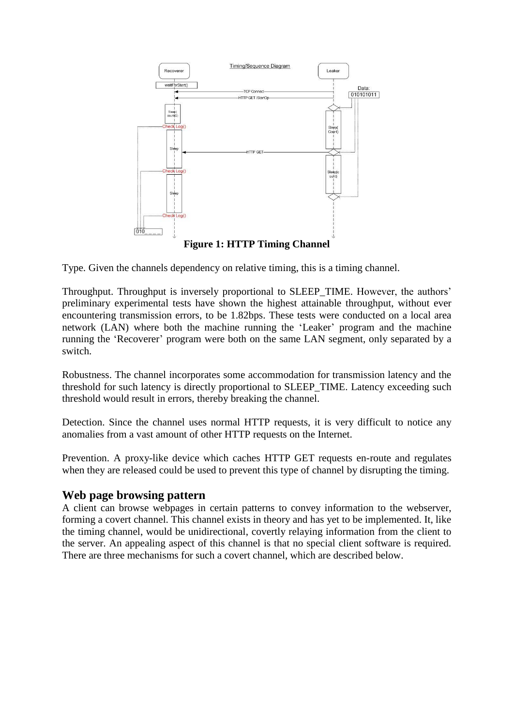

Type. Given the channels dependency on relative timing, this is a timing channel.

Throughput. Throughput is inversely proportional to SLEEP\_TIME. However, the authors" preliminary experimental tests have shown the highest attainable throughput, without ever encountering transmission errors, to be 1.82bps. These tests were conducted on a local area network (LAN) where both the machine running the "Leaker" program and the machine running the 'Recoverer' program were both on the same LAN segment, only separated by a switch.

Robustness. The channel incorporates some accommodation for transmission latency and the threshold for such latency is directly proportional to SLEEP\_TIME. Latency exceeding such threshold would result in errors, thereby breaking the channel.

Detection. Since the channel uses normal HTTP requests, it is very difficult to notice any anomalies from a vast amount of other HTTP requests on the Internet.

Prevention. A proxy-like device which caches HTTP GET requests en-route and regulates when they are released could be used to prevent this type of channel by disrupting the timing.

#### **Web page browsing pattern**

A client can browse webpages in certain patterns to convey information to the webserver, forming a covert channel. This channel exists in theory and has yet to be implemented. It, like the timing channel, would be unidirectional, covertly relaying information from the client to the server. An appealing aspect of this channel is that no special client software is required. There are three mechanisms for such a covert channel, which are described below.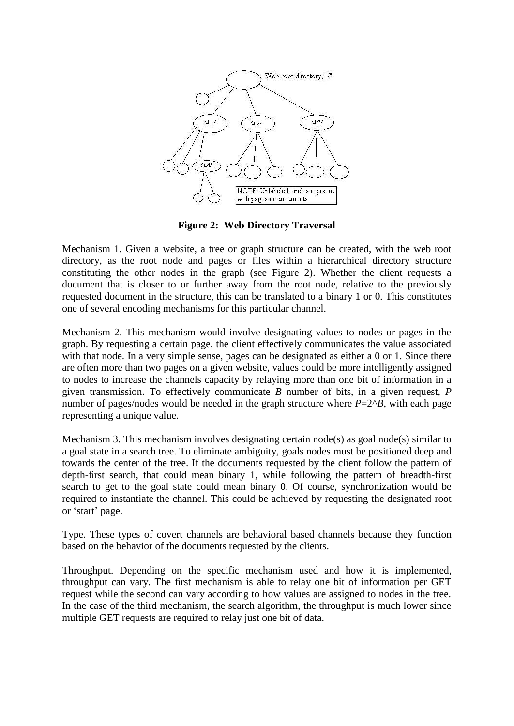

**Figure 2: Web Directory Traversal**

Mechanism 1. Given a website, a tree or graph structure can be created, with the web root directory, as the root node and pages or files within a hierarchical directory structure constituting the other nodes in the graph (see Figure 2). Whether the client requests a document that is closer to or further away from the root node, relative to the previously requested document in the structure, this can be translated to a binary 1 or 0. This constitutes one of several encoding mechanisms for this particular channel.

Mechanism 2. This mechanism would involve designating values to nodes or pages in the graph. By requesting a certain page, the client effectively communicates the value associated with that node. In a very simple sense, pages can be designated as either a 0 or 1. Since there are often more than two pages on a given website, values could be more intelligently assigned to nodes to increase the channels capacity by relaying more than one bit of information in a given transmission. To effectively communicate *B* number of bits, in a given request, *P* number of pages/nodes would be needed in the graph structure where  $P=2^{A}B$ , with each page representing a unique value.

Mechanism 3. This mechanism involves designating certain node(s) as goal node(s) similar to a goal state in a search tree. To eliminate ambiguity, goals nodes must be positioned deep and towards the center of the tree. If the documents requested by the client follow the pattern of depth-first search, that could mean binary 1, while following the pattern of breadth-first search to get to the goal state could mean binary 0. Of course, synchronization would be required to instantiate the channel. This could be achieved by requesting the designated root or "start" page.

Type. These types of covert channels are behavioral based channels because they function based on the behavior of the documents requested by the clients.

Throughput. Depending on the specific mechanism used and how it is implemented, throughput can vary. The first mechanism is able to relay one bit of information per GET request while the second can vary according to how values are assigned to nodes in the tree. In the case of the third mechanism, the search algorithm, the throughput is much lower since multiple GET requests are required to relay just one bit of data.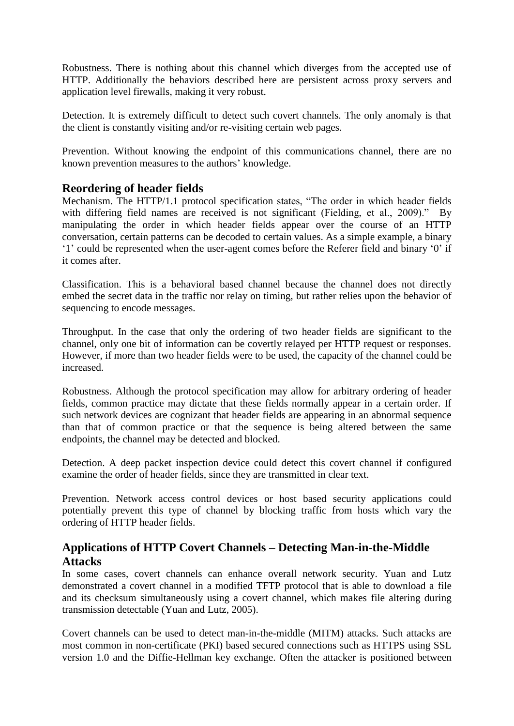Robustness. There is nothing about this channel which diverges from the accepted use of HTTP. Additionally the behaviors described here are persistent across proxy servers and application level firewalls, making it very robust.

Detection. It is extremely difficult to detect such covert channels. The only anomaly is that the client is constantly visiting and/or re-visiting certain web pages.

Prevention. Without knowing the endpoint of this communications channel, there are no known prevention measures to the authors' knowledge.

## **Reordering of header fields**

Mechanism. The HTTP/1.1 protocol specification states, "The order in which header fields with differing field names are received is not significant (Fielding, et al., 2009)." By manipulating the order in which header fields appear over the course of an HTTP conversation, certain patterns can be decoded to certain values. As a simple example, a binary "1" could be represented when the user-agent comes before the Referer field and binary "0" if it comes after.

Classification. This is a behavioral based channel because the channel does not directly embed the secret data in the traffic nor relay on timing, but rather relies upon the behavior of sequencing to encode messages.

Throughput. In the case that only the ordering of two header fields are significant to the channel, only one bit of information can be covertly relayed per HTTP request or responses. However, if more than two header fields were to be used, the capacity of the channel could be increased.

Robustness. Although the protocol specification may allow for arbitrary ordering of header fields, common practice may dictate that these fields normally appear in a certain order. If such network devices are cognizant that header fields are appearing in an abnormal sequence than that of common practice or that the sequence is being altered between the same endpoints, the channel may be detected and blocked.

Detection. A deep packet inspection device could detect this covert channel if configured examine the order of header fields, since they are transmitted in clear text.

Prevention. Network access control devices or host based security applications could potentially prevent this type of channel by blocking traffic from hosts which vary the ordering of HTTP header fields.

## **Applications of HTTP Covert Channels – Detecting Man-in-the-Middle Attacks**

In some cases, covert channels can enhance overall network security. Yuan and Lutz demonstrated a covert channel in a modified TFTP protocol that is able to download a file and its checksum simultaneously using a covert channel, which makes file altering during transmission detectable (Yuan and Lutz, 2005).

Covert channels can be used to detect man-in-the-middle (MITM) attacks. Such attacks are most common in non-certificate (PKI) based secured connections such as HTTPS using SSL version 1.0 and the Diffie-Hellman key exchange. Often the attacker is positioned between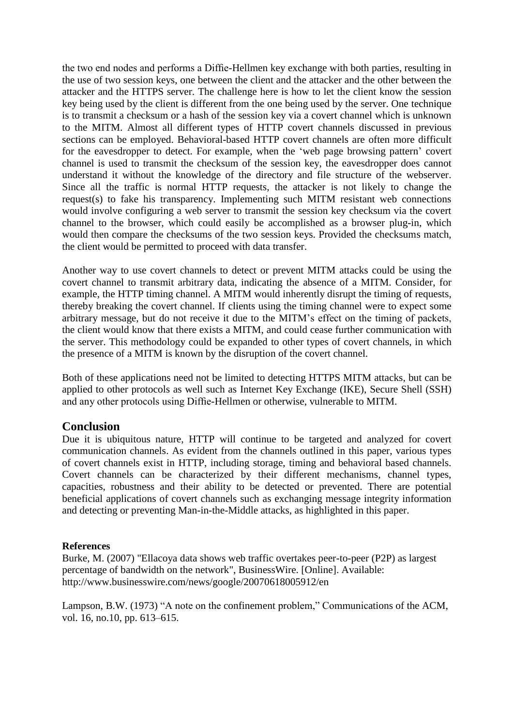the two end nodes and performs a Diffie-Hellmen key exchange with both parties, resulting in the use of two session keys, one between the client and the attacker and the other between the attacker and the HTTPS server. The challenge here is how to let the client know the session key being used by the client is different from the one being used by the server. One technique is to transmit a checksum or a hash of the session key via a covert channel which is unknown to the MITM. Almost all different types of HTTP covert channels discussed in previous sections can be employed. Behavioral-based HTTP covert channels are often more difficult for the eavesdropper to detect. For example, when the 'web page browsing pattern' covert channel is used to transmit the checksum of the session key, the eavesdropper does cannot understand it without the knowledge of the directory and file structure of the webserver. Since all the traffic is normal HTTP requests, the attacker is not likely to change the request(s) to fake his transparency. Implementing such MITM resistant web connections would involve configuring a web server to transmit the session key checksum via the covert channel to the browser, which could easily be accomplished as a browser plug-in, which would then compare the checksums of the two session keys. Provided the checksums match, the client would be permitted to proceed with data transfer.

Another way to use covert channels to detect or prevent MITM attacks could be using the covert channel to transmit arbitrary data, indicating the absence of a MITM. Consider, for example, the HTTP timing channel. A MITM would inherently disrupt the timing of requests, thereby breaking the covert channel. If clients using the timing channel were to expect some arbitrary message, but do not receive it due to the MITM"s effect on the timing of packets, the client would know that there exists a MITM, and could cease further communication with the server. This methodology could be expanded to other types of covert channels, in which the presence of a MITM is known by the disruption of the covert channel.

Both of these applications need not be limited to detecting HTTPS MITM attacks, but can be applied to other protocols as well such as Internet Key Exchange (IKE), Secure Shell (SSH) and any other protocols using Diffie-Hellmen or otherwise, vulnerable to MITM.

#### **Conclusion**

Due it is ubiquitous nature, HTTP will continue to be targeted and analyzed for covert communication channels. As evident from the channels outlined in this paper, various types of covert channels exist in HTTP, including storage, timing and behavioral based channels. Covert channels can be characterized by their different mechanisms, channel types, capacities, robustness and their ability to be detected or prevented. There are potential beneficial applications of covert channels such as exchanging message integrity information and detecting or preventing Man-in-the-Middle attacks, as highlighted in this paper.

#### **References**

Burke, M. (2007) "Ellacoya data shows web traffic overtakes peer-to-peer (P2P) as largest percentage of bandwidth on the network", BusinessWire. [Online]. Available: http://www.businesswire.com/news/google/20070618005912/en

Lampson, B.W. (1973) "A note on the confinement problem," Communications of the ACM, vol. 16, no.10, pp. 613–615.